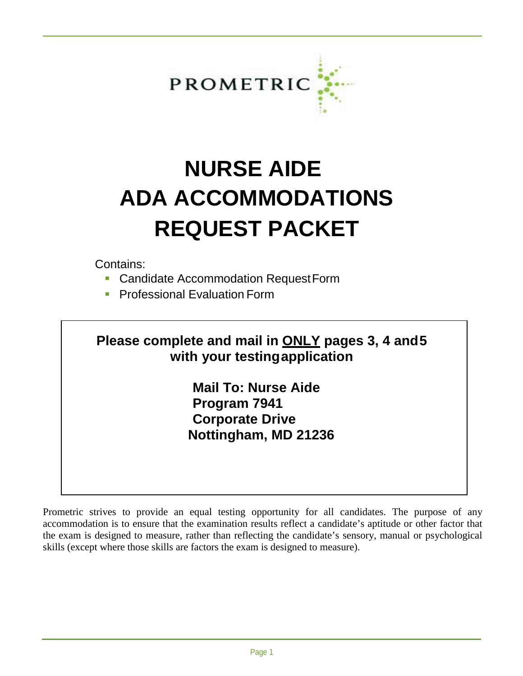

# **NURSE AIDE ADA ACCOMMODATIONS REQUEST PACKET**

Contains:

- **Candidate Accommodation RequestForm**
- **Professional Evaluation Form**

## **Please complete and mail in ONLY pages 3, 4 and 5 with your testing application**

**Mail To: Nurse Aide Program 7941 Corporate Drive Nottingham, MD 21236** 

Prometric strives to provide an equal testing opportunity for all candidates. The purpose of any accommodation is to ensure that the examination results reflect a candidate's aptitude or other factor that the exam is designed to measure, rather than reflecting the candidate's sensory, manual or psychological skills (except where those skills are factors the exam is designed to measure).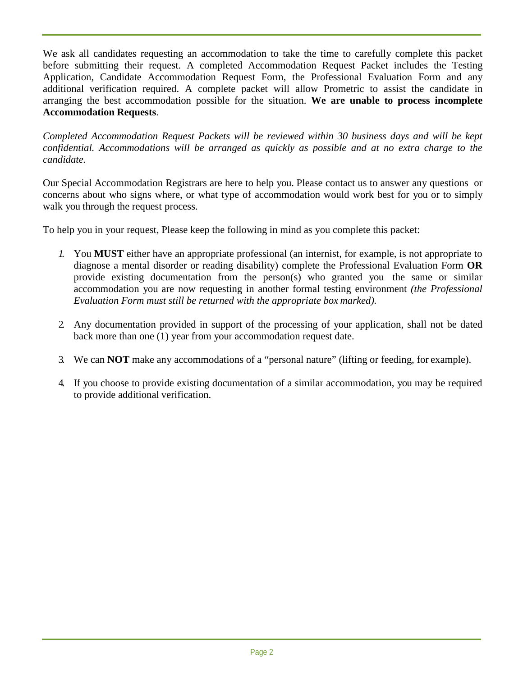We ask all candidates requesting an accommodation to take the time to carefully complete this packet before submitting their request. A completed Accommodation Request Packet includes the Testing Application, Candidate Accommodation Request Form, the Professional Evaluation Form and any additional verification required. A complete packet will allow Prometric to assist the candidate in arranging the best accommodation possible for the situation. **We are unable to process incomplete Accommodation Requests**.

*Completed Accommodation Request Packets will be reviewed within 30 business days and will be kept confidential. Accommodations will be arranged as quickly as possible and at no extra charge to the candidate.*

Our Special Accommodation Registrars are here to help you. Please contact us to answer any questions or concerns about who signs where, or what type of accommodation would work best for you or to simply walk you through the request process.

To help you in your request, Please keep the following in mind as you complete this packet:

- *1.* You **MUST** either have an appropriate professional (an internist, for example, is not appropriate to diagnose a mental disorder or reading disability) complete the Professional Evaluation Form **OR**  provide existing documentation from the person(s) who granted you the same or similar accommodation you are now requesting in another formal testing environment *(the Professional Evaluation Form must still be returned with the appropriate box marked).*
- 2. Any documentation provided in support of the processing of your application, shall not be dated back more than one (1) year from your accommodation request date.
- 3. We can **NOT** make any accommodations of a "personal nature" (lifting or feeding, for example).
- 4. If you choose to provide existing documentation of a similar accommodation, you may be required to provide additional verification.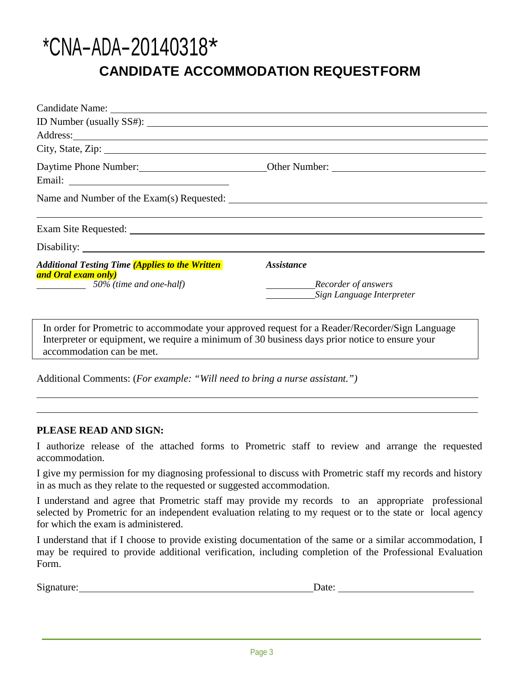## \*CNA-ADA-20140318\* **CANDIDATE ACCOMMODATION REQUESTFORM**

|                                                                                                                | Address:                                                                                                         |
|----------------------------------------------------------------------------------------------------------------|------------------------------------------------------------------------------------------------------------------|
| City, State, Zip: 2008. Experience of the State of Table 2014. The State of Table 2014. The State of Table 201 |                                                                                                                  |
|                                                                                                                |                                                                                                                  |
|                                                                                                                |                                                                                                                  |
|                                                                                                                |                                                                                                                  |
|                                                                                                                | and the control of the control of the control of the control of the control of the control of the control of the |
|                                                                                                                |                                                                                                                  |
| <b>Additional Testing Time (Applies to the Written</b><br>and Oral exam only)                                  | <i>Assistance</i>                                                                                                |
| 50% (time and one-half)                                                                                        | Recorder of answers<br>Sign Language Interpreter                                                                 |
| Interpreter or equipment, we require a minimum of 30 business days prior notice to ensure your                 | In order for Prometric to accommodate your approved request for a Reader/Recorder/Sign Language                  |

accommodation can be met.

Additional Comments: (*For example: "Will need to bring a nurse assistant.")*

#### **PLEASE READ AND SIGN:**

I authorize release of the attached forms to Prometric staff to review and arrange the requested accommodation.

I give my permission for my diagnosing professional to discuss with Prometric staff my records and history in as much as they relate to the requested or suggested accommodation.

I understand and agree that Prometric staff may provide my records to an appropriate professional selected by Prometric for an independent evaluation relating to my request or to the state or local agency for which the exam is administered.

I understand that if I choose to provide existing documentation of the same or a similar accommodation, I may be required to provide additional verification, including completion of the Professional Evaluation Form.

Signature: Date: Date: Date: Date: Date: Date: Date: Date: Date: Date: Date: Date: Date: Date: Date: Date: Date: Date: Date: Date: Date: Date: Date: Date: Date: Date: Date: Date: Date: Date: Date: Date: Date: Date: Date: D

| ate: |  |
|------|--|
|      |  |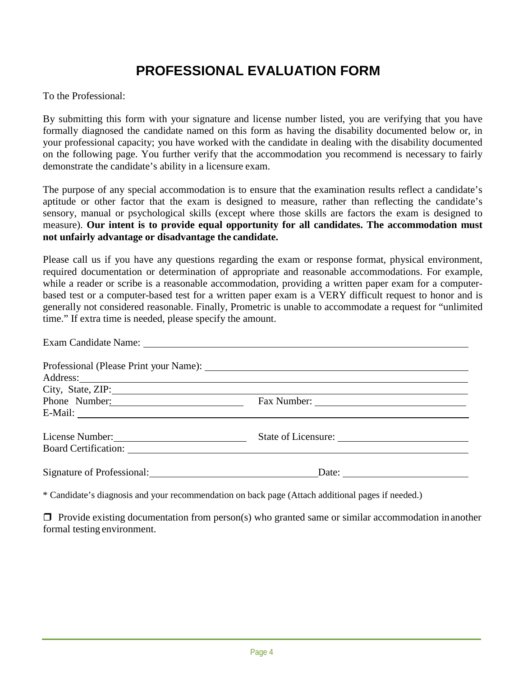## **PROFESSIONAL EVALUATION FORM**

To the Professional:

By submitting this form with your signature and license number listed, you are verifying that you have formally diagnosed the candidate named on this form as having the disability documented below or, in your professional capacity; you have worked with the candidate in dealing with the disability documented on the following page. You further verify that the accommodation you recommend is necessary to fairly demonstrate the candidate's ability in a licensure exam.

The purpose of any special accommodation is to ensure that the examination results reflect a candidate's aptitude or other factor that the exam is designed to measure, rather than reflecting the candidate's sensory, manual or psychological skills (except where those skills are factors the exam is designed to measure). **Our intent is to provide equal opportunity for all candidates. The accommodation must not unfairly advantage or disadvantage the candidate.**

Please call us if you have any questions regarding the exam or response format, physical environment, required documentation or determination of appropriate and reasonable accommodations. For example, while a reader or scribe is a reasonable accommodation, providing a written paper exam for a computerbased test or a computer-based test for a written paper exam is a VERY difficult request to honor and is generally not considered reasonable. Finally, Prometric is unable to accommodate a request for "unlimited time." If extra time is needed, please specify the amount.

|                                                                                                                | Address: <u>and the same of the same of the same of the same of the same of the same of the same of the same of the same of the same of the same of the same of the same of the same of the same of the same of the same of the </u><br>City, State, ZIP: |
|----------------------------------------------------------------------------------------------------------------|-----------------------------------------------------------------------------------------------------------------------------------------------------------------------------------------------------------------------------------------------------------|
|                                                                                                                | Phone Number: Fax Number: Fax Number:                                                                                                                                                                                                                     |
|                                                                                                                |                                                                                                                                                                                                                                                           |
| Signature of Professional: 2008 and 2010 and 2010 and 2010 and 2010 and 2010 and 2010 and 2010 and 2010 and 20 |                                                                                                                                                                                                                                                           |

\* Candidate's diagnosis and your recommendation on back page (Attach additional pages if needed.)

 $\Box$  Provide existing documentation from person(s) who granted same or similar accommodation in another formal testing environment.